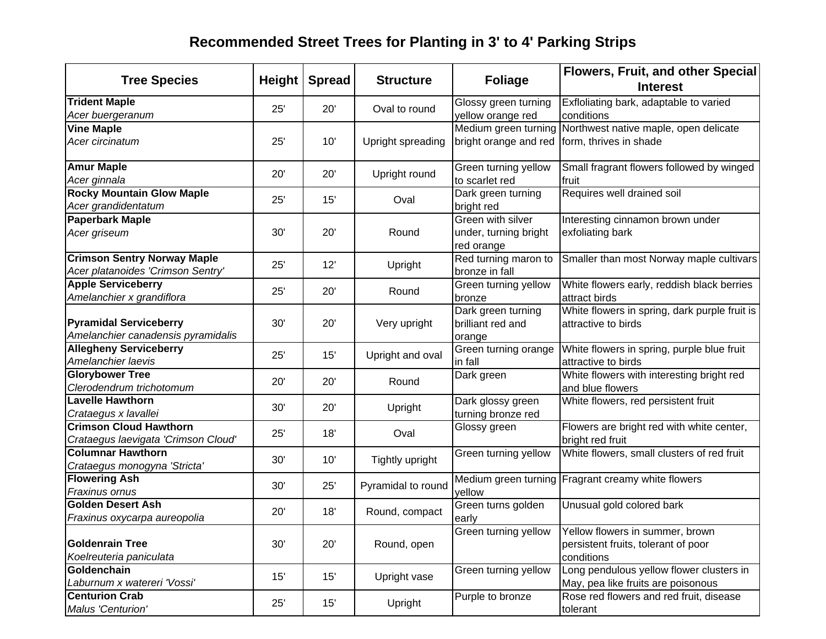# **Recommended Street Trees for Planting in 3' to 4' Parking Strips**

|                                                    |        |               |                    | <b>Flowers, Fruit, and other Special</b> |                                                               |  |  |
|----------------------------------------------------|--------|---------------|--------------------|------------------------------------------|---------------------------------------------------------------|--|--|
| <b>Tree Species</b>                                | Height | <b>Spread</b> | <b>Structure</b>   | <b>Foliage</b>                           | <b>Interest</b>                                               |  |  |
| <b>Trident Maple</b>                               | 25'    | 20'           | Oval to round      | Glossy green turning                     | Exfloliating bark, adaptable to varied                        |  |  |
| Acer buergeranum                                   |        |               |                    | yellow orange red                        | conditions                                                    |  |  |
| <b>Vine Maple</b>                                  |        |               |                    | Medium green turning                     | Northwest native maple, open delicate                         |  |  |
| Acer circinatum                                    | 25'    | 10'           | Upright spreading  | bright orange and red                    | form, thrives in shade                                        |  |  |
| <b>Amur Maple</b>                                  | 20'    | 20'           | Upright round      | Green turning yellow                     | Small fragrant flowers followed by winged                     |  |  |
| Acer ginnala                                       |        |               |                    | to scarlet red                           | fruit                                                         |  |  |
| <b>Rocky Mountain Glow Maple</b>                   | 25'    | 15'           | Oval               | Dark green turning                       | Requires well drained soil                                    |  |  |
| Acer grandidentatum                                |        |               |                    | bright red                               |                                                               |  |  |
| <b>Paperbark Maple</b>                             |        |               |                    | Green with silver                        | Interesting cinnamon brown under                              |  |  |
| Acer griseum                                       | 30'    | 20'           | Round              | under, turning bright                    | exfoliating bark                                              |  |  |
|                                                    |        |               |                    | red orange                               |                                                               |  |  |
| <b>Crimson Sentry Norway Maple</b>                 | 25'    | 12'           | Upright            | Red turning maron to                     | Smaller than most Norway maple cultivars                      |  |  |
| Acer platanoides 'Crimson Sentry'                  |        |               |                    | bronze in fall                           |                                                               |  |  |
| <b>Apple Serviceberry</b>                          | 25'    | 20'           | Round              | Green turning yellow                     | White flowers early, reddish black berries                    |  |  |
| Amelanchier x grandiflora                          |        |               |                    | bronze                                   | attract birds                                                 |  |  |
|                                                    |        |               |                    | Dark green turning                       | White flowers in spring, dark purple fruit is                 |  |  |
| <b>Pyramidal Serviceberry</b>                      | 30'    | 20'           | Very upright       | brilliant red and                        | attractive to birds                                           |  |  |
| Amelanchier canadensis pyramidalis                 |        |               |                    | orange                                   |                                                               |  |  |
| <b>Allegheny Serviceberry</b>                      | 25'    | 15'           | Upright and oval   | Green turning orange                     | White flowers in spring, purple blue fruit                    |  |  |
| Amelanchier laevis                                 |        |               |                    | in fall                                  | attractive to birds                                           |  |  |
| <b>Glorybower Tree</b><br>Clerodendrum trichotomum | 20'    | 20'           | Round              | Dark green                               | White flowers with interesting bright red<br>and blue flowers |  |  |
| <b>Lavelle Hawthorn</b>                            |        |               |                    | Dark glossy green                        | White flowers, red persistent fruit                           |  |  |
| Crataegus x lavallei                               | 30'    | 20'           | Upright            | turning bronze red                       |                                                               |  |  |
| <b>Crimson Cloud Hawthorn</b>                      |        |               |                    | Glossy green                             | Flowers are bright red with white center,                     |  |  |
| Crataegus laevigata 'Crimson Cloud'                | 25'    | 18'           | Oval               |                                          | bright red fruit                                              |  |  |
| <b>Columnar Hawthorn</b>                           |        |               |                    | Green turning yellow                     | White flowers, small clusters of red fruit                    |  |  |
| Crataegus monogyna 'Stricta'                       | 30'    | 10'           | Tightly upright    |                                          |                                                               |  |  |
| <b>Flowering Ash</b>                               |        |               |                    |                                          | Medium green turning Fragrant creamy white flowers            |  |  |
| Fraxinus ornus                                     | 30'    | 25'           | Pyramidal to round | yellow                                   |                                                               |  |  |
| <b>Golden Desert Ash</b>                           |        |               |                    | Green turns golden                       | Unusual gold colored bark                                     |  |  |
| Fraxinus oxycarpa aureopolia                       | 20'    | 18'           | Round, compact     | early                                    |                                                               |  |  |
|                                                    |        |               |                    |                                          | Green turning yellow Yellow flowers in summer, brown          |  |  |
| <b>Goldenrain Tree</b>                             | 30'    | 20'           | Round, open        |                                          | persistent fruits, tolerant of poor                           |  |  |
| Koelreuteria paniculata                            |        |               |                    |                                          | conditions                                                    |  |  |
| Goldenchain                                        | 15'    |               |                    | Green turning yellow                     | Long pendulous yellow flower clusters in                      |  |  |
| Laburnum x watereri 'Vossi'                        |        | 15'           | Upright vase       |                                          | May, pea like fruits are poisonous                            |  |  |
| <b>Centurion Crab</b>                              | 25'    | 15'           | Upright            | Purple to bronze                         | Rose red flowers and red fruit, disease                       |  |  |
| Malus 'Centurion'                                  |        |               |                    |                                          | tolerant                                                      |  |  |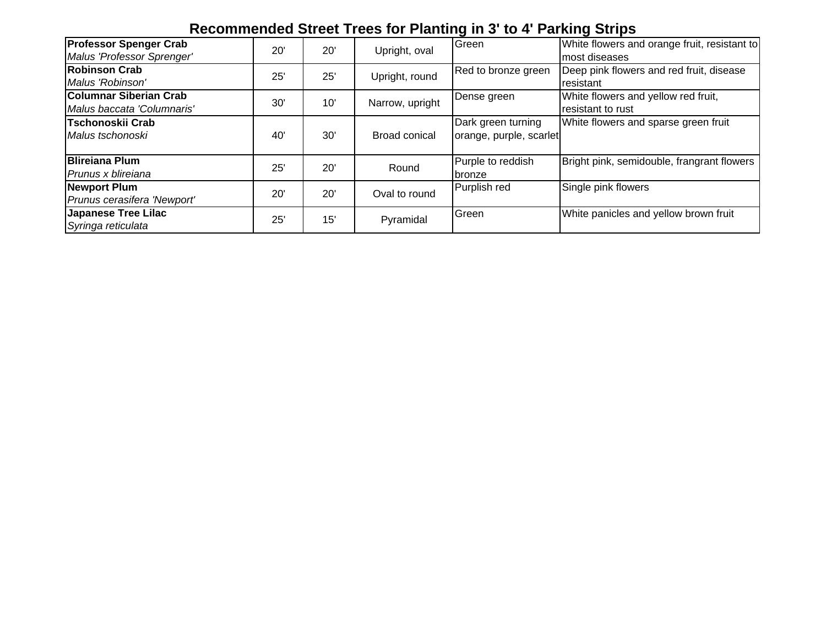### **Recommended Street Trees for Planting in 3' to 4' Parking Strips**

| <b>Professor Spenger Crab</b><br>Malus 'Professor Sprenger' | 20' | 20' | Upright, oval   | Green                                         | White flowers and orange fruit, resistant to<br>most diseases |
|-------------------------------------------------------------|-----|-----|-----------------|-----------------------------------------------|---------------------------------------------------------------|
| <b>Robinson Crab</b><br>Malus 'Robinson'                    | 25' | 25' | Upright, round  | Red to bronze green                           | Deep pink flowers and red fruit, disease<br>resistant         |
| <b>Columnar Siberian Crab</b><br>Malus baccata 'Columnaris' | 30' | 10' | Narrow, upright | Dense green                                   | White flowers and yellow red fruit,<br>resistant to rust      |
| Tschonoskii Crab<br>Malus tschonoski                        | 40' | 30' | Broad conical   | Dark green turning<br>orange, purple, scarlet | White flowers and sparse green fruit                          |
| <b>Blireiana Plum</b><br>Prunus x blireiana                 | 25' | 20' | Round           | Purple to reddish<br>bronze                   | Bright pink, semidouble, frangrant flowers                    |
| <b>Newport Plum</b><br>Prunus cerasifera 'Newport'          | 20' | 20' | Oval to round   | Purplish red                                  | Single pink flowers                                           |
| <b>Japanese Tree Lilac</b><br>Syringa reticulata            | 25' | 15' | Pyramidal       | Green                                         | White panicles and yellow brown fruit                         |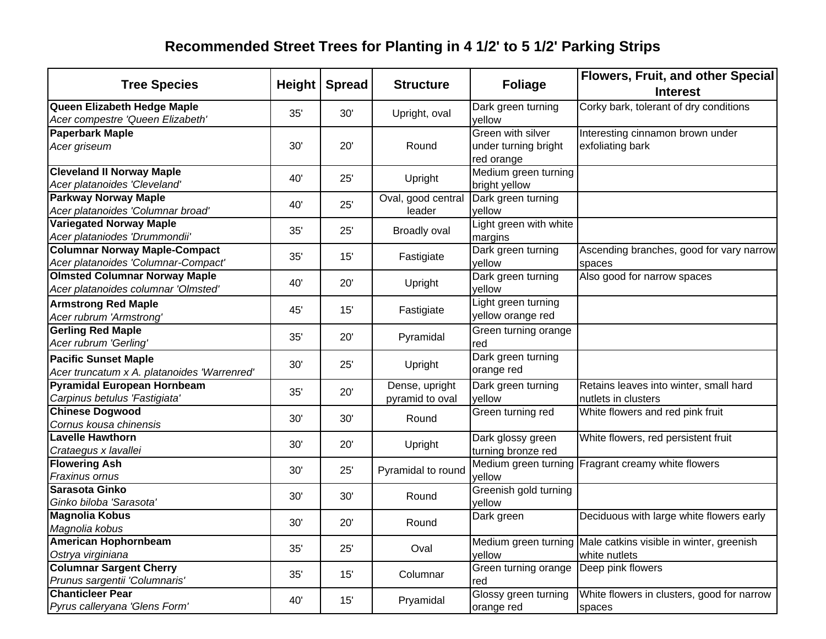# **Recommended Street Trees for Planting in 4 1/2' to 5 1/2' Parking Strips**

| <b>Tree Species</b>                                                         | <b>Height</b> | <b>Spread</b> | <b>Structure</b>   | <b>Foliage</b>               | Flowers, Fruit, and other Special<br><b>Interest</b>          |
|-----------------------------------------------------------------------------|---------------|---------------|--------------------|------------------------------|---------------------------------------------------------------|
| Queen Elizabeth Hedge Maple<br>Acer compestre 'Queen Elizabeth'             | 35'           | 30'           | Upright, oval      | Dark green turning<br>yellow | Corky bark, tolerant of dry conditions                        |
| <b>Paperbark Maple</b>                                                      |               |               |                    | Green with silver            | Interesting cinnamon brown under                              |
| Acer griseum                                                                | 30'           | 20'           | Round              | under turning bright         | exfoliating bark                                              |
|                                                                             |               |               |                    | red orange                   |                                                               |
| <b>Cleveland II Norway Maple</b>                                            | 40'           | 25'           | Upright            | Medium green turning         |                                                               |
| Acer platanoides 'Cleveland'                                                |               |               |                    | bright yellow                |                                                               |
| <b>Parkway Norway Maple</b>                                                 | 40'           | 25'           | Oval, good central | Dark green turning           |                                                               |
| Acer platanoides 'Columnar broad'                                           |               |               | leader             | yellow                       |                                                               |
| <b>Variegated Norway Maple</b>                                              | 35'           | 25'           | Broadly oval       | Light green with white       |                                                               |
| Acer plataniodes 'Drummondii'                                               |               |               |                    | margins                      |                                                               |
| <b>Columnar Norway Maple-Compact</b>                                        | 35'           | 15'           | Fastigiate         | Dark green turning           | Ascending branches, good for vary narrow                      |
| Acer platanoides 'Columnar-Compact'                                         |               |               |                    | yellow                       | spaces                                                        |
| <b>Olmsted Columnar Norway Maple</b><br>Acer platanoides columnar 'Olmsted' | 40'           | 20'           | Upright            | Dark green turning<br>yellow | Also good for narrow spaces                                   |
| <b>Armstrong Red Maple</b>                                                  |               |               |                    | Light green turning          |                                                               |
| Acer rubrum 'Armstrong'                                                     | 45'           | 15'           | Fastigiate         | yellow orange red            |                                                               |
| <b>Gerling Red Maple</b>                                                    |               |               |                    | Green turning orange         |                                                               |
| Acer rubrum 'Gerling'                                                       | 35'           | 20'           | Pyramidal          | red                          |                                                               |
| <b>Pacific Sunset Maple</b>                                                 |               |               |                    | Dark green turning           |                                                               |
| Acer truncatum x A. platanoides 'Warrenred'                                 | 30'           | 25'           | Upright            | orange red                   |                                                               |
| Pyramidal European Hornbeam                                                 |               |               | Dense, upright     | Dark green turning           | Retains leaves into winter, small hard                        |
| Carpinus betulus 'Fastigiata'                                               | 35'           | 20'           | pyramid to oval    | yellow                       | nutlets in clusters                                           |
| <b>Chinese Dogwood</b>                                                      |               |               |                    | Green turning red            | White flowers and red pink fruit                              |
| Cornus kousa chinensis                                                      | 30'           | 30'           | Round              |                              |                                                               |
| <b>Lavelle Hawthorn</b>                                                     |               |               |                    | Dark glossy green            | White flowers, red persistent fruit                           |
| Crataegus x lavallei                                                        | 30'           | 20'           | Upright            | turning bronze red           |                                                               |
| <b>Flowering Ash</b>                                                        | 30'           | 25'           |                    |                              | Medium green turning Fragrant creamy white flowers            |
| Fraxinus ornus                                                              |               |               | Pyramidal to round | yellow                       |                                                               |
| Sarasota Ginko                                                              | 30'           | 30'           | Round              | Greenish gold turning        |                                                               |
| Ginko biloba 'Sarasota'                                                     |               |               |                    | yellow                       |                                                               |
| <b>Magnolia Kobus</b>                                                       | 30'           | 20'           | Round              | Dark green                   | Deciduous with large white flowers early                      |
| Magnolia kobus                                                              |               |               |                    |                              |                                                               |
| <b>American Hophornbeam</b>                                                 | 35'           | 25'           | Oval               |                              | Medium green turning Male catkins visible in winter, greenish |
| Ostrya virginiana                                                           |               |               |                    | yellow                       | white nutlets                                                 |
| <b>Columnar Sargent Cherry</b>                                              | 35'           | 15'           | Columnar           | Green turning orange         | Deep pink flowers                                             |
| Prunus sargentii 'Columnaris'                                               |               |               |                    | red                          |                                                               |
| <b>Chanticleer Pear</b>                                                     | 40'           | 15'           | Pryamidal          | Glossy green turning         | White flowers in clusters, good for narrow                    |
| Pyrus calleryana 'Glens Form'                                               |               |               |                    | orange red                   | spaces                                                        |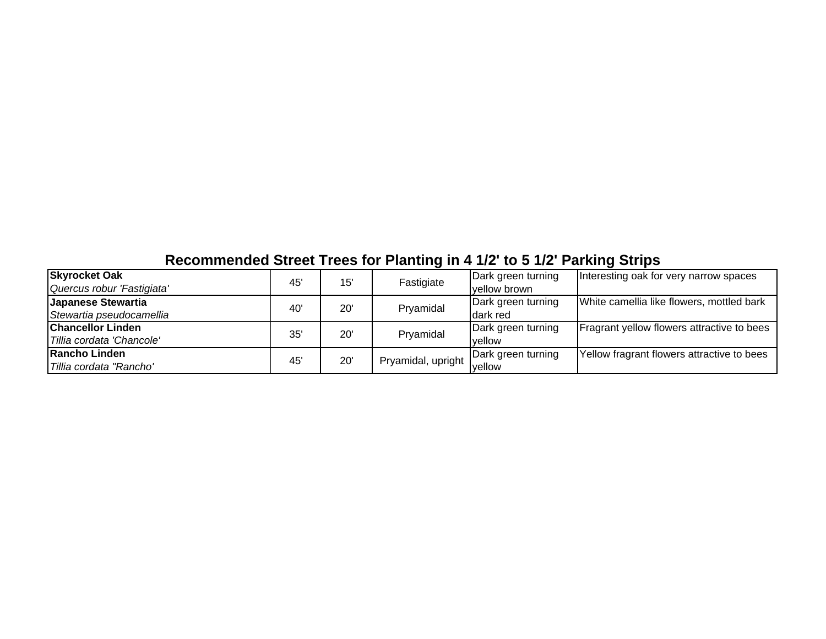# **Recommended Street Trees for Planting in 4 1/2' to 5 1/2' Parking Strips**

| <b>Skyrocket Oak</b>       |     | 15' |                    | Dark green turning | Interesting oak for very narrow spaces     |
|----------------------------|-----|-----|--------------------|--------------------|--------------------------------------------|
| Quercus robur 'Fastigiata' | 45' |     | Fastigiate         | vellow brown       |                                            |
| Japanese Stewartia         | 40' | 20' | Pryamidal          | Dark green turning | White camellia like flowers, mottled bark  |
| Stewartia pseudocamellia   |     |     |                    | Idark red          |                                            |
| <b>Chancellor Linden</b>   | 35' | 20' | Pryamidal          | Dark green turning | Fragrant yellow flowers attractive to bees |
| Tillia cordata 'Chancole'  |     |     |                    | vellow             |                                            |
| Rancho Linden              | 45' | 20' | Pryamidal, upright | Dark green turning | Yellow fragrant flowers attractive to bees |
| Tillia cordata "Rancho'    |     |     |                    | <b>vellow</b>      |                                            |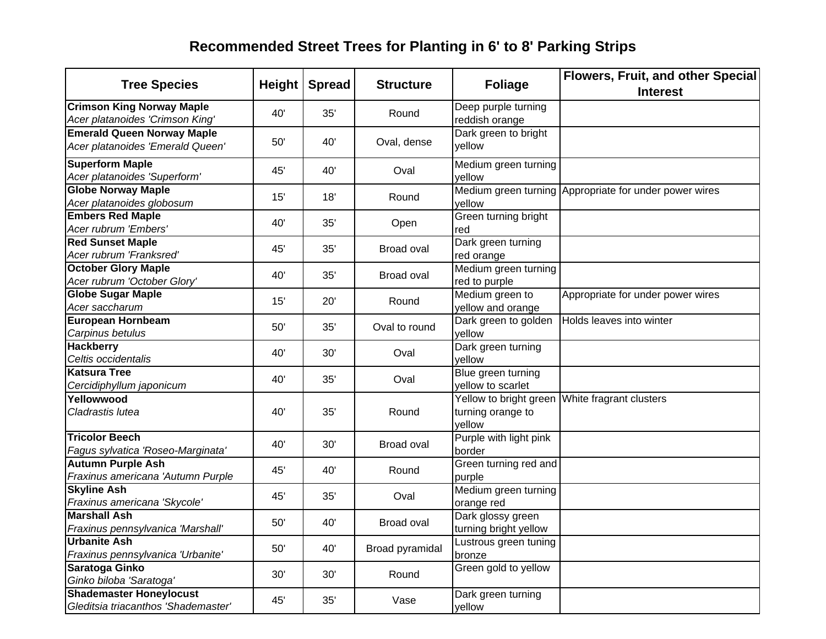# **Recommended Street Trees for Planting in 6' to 8' Parking Strips**

| <b>Tree Species</b>                                                   | Height | <b>Spread</b> | <b>Structure</b> | <b>Foliage</b>                             | Flowers, Fruit, and other Special<br><b>Interest</b>   |
|-----------------------------------------------------------------------|--------|---------------|------------------|--------------------------------------------|--------------------------------------------------------|
| <b>Crimson King Norway Maple</b><br>Acer platanoides 'Crimson King'   | 40'    | 35'           | Round            | Deep purple turning<br>reddish orange      |                                                        |
| <b>Emerald Queen Norway Maple</b><br>Acer platanoides 'Emerald Queen' | 50'    | 40'           | Oval, dense      | Dark green to bright<br>vellow             |                                                        |
| <b>Superform Maple</b><br>Acer platanoides 'Superform'                | 45'    | 40'           | Oval             | Medium green turning<br>vellow             |                                                        |
| <b>Globe Norway Maple</b><br>Acer platanoides globosum                | 15'    | 18'           | Round            | yellow                                     | Medium green turning Appropriate for under power wires |
| <b>Embers Red Maple</b><br>Acer rubrum 'Embers'                       | 40'    | 35'           | Open             | Green turning bright<br>red                |                                                        |
| <b>Red Sunset Maple</b><br>Acer rubrum 'Franksred'                    | 45'    | 35'           | Broad oval       | Dark green turning<br>red orange           |                                                        |
| <b>October Glory Maple</b><br>Acer rubrum 'October Glory'             | 40'    | 35'           | Broad oval       | Medium green turning<br>red to purple      |                                                        |
| <b>Globe Sugar Maple</b><br>Acer saccharum                            | 15'    | 20'           | Round            | Medium green to<br>yellow and orange       | Appropriate for under power wires                      |
| <b>European Hornbeam</b><br>Carpinus betulus                          | 50'    | 35'           | Oval to round    | Dark green to golden<br>yellow             | Holds leaves into winter                               |
| <b>Hackberry</b><br>Celtis occidentalis                               | 40'    | 30'           | Oval             | Dark green turning<br>yellow               |                                                        |
| <b>Katsura Tree</b><br>Cercidiphyllum japonicum                       | 40'    | 35'           | Oval             | Blue green turning<br>yellow to scarlet    |                                                        |
| Yellowwood<br>Cladrastis lutea                                        | 40'    | 35'           | Round            | turning orange to<br>yellow                | Yellow to bright green White fragrant clusters         |
| <b>Tricolor Beech</b><br>Fagus sylvatica 'Roseo-Marginata'            | 40'    | 30'           | Broad oval       | Purple with light pink<br>border           |                                                        |
| <b>Autumn Purple Ash</b><br>Fraxinus americana 'Autumn Purple         | 45'    | 40'           | Round            | Green turning red and<br>purple            |                                                        |
| <b>Skyline Ash</b><br>Fraxinus americana 'Skycole'                    | 45'    | 35'           | Oval             | Medium green turning<br>orange red         |                                                        |
| <b>Marshall Ash</b><br>Fraxinus pennsylvanica 'Marshall'              | 50'    | 40'           | Broad oval       | Dark glossy green<br>turning bright yellow |                                                        |
| <b>Urbanite Ash</b><br>Fraxinus pennsylvanica 'Urbanite'              | 50'    | 40'           | Broad pyramidal  | Lustrous green tuning<br>bronze            |                                                        |
| Saratoga Ginko<br>Ginko biloba 'Saratoga'                             | 30'    | 30'           | Round            | Green gold to yellow                       |                                                        |
| <b>Shademaster Honeylocust</b><br>Gleditsia triacanthos 'Shademaster' | 45'    | 35'           | Vase             | Dark green turning<br>yellow               |                                                        |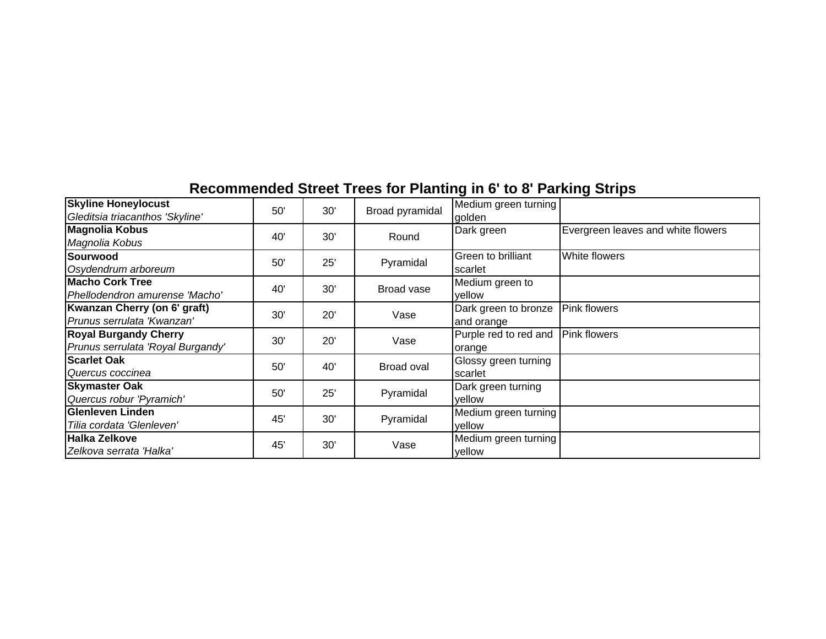| <b>Skyline Honeylocust</b>        | 50'        |             |                   | Medium green turning  |                                    |
|-----------------------------------|------------|-------------|-------------------|-----------------------|------------------------------------|
| Gleditsia triacanthos 'Skyline'   |            | 30'         | Broad pyramidal   | laolden               |                                    |
| <b>Magnolia Kobus</b>             |            |             |                   | Dark green            | Evergreen leaves and white flowers |
| Magnolia Kobus                    | 40'        | 30'         | Round             |                       |                                    |
| Sourwood                          | 50'        |             |                   | Green to brilliant    | White flowers                      |
| Osydendrum arboreum               |            | 25'         | Pyramidal         | scarlet               |                                    |
| <b>Macho Cork Tree</b>            |            |             |                   | Medium green to       |                                    |
| Phellodendron amurense 'Macho'    | 40'        | 30'         | Broad vase        | yellow                |                                    |
| Kwanzan Cherry (on 6' graft)      | 30'        | 20'         | Vase              | Dark green to bronze  | <b>Pink flowers</b>                |
| Prunus serrulata 'Kwanzan'        |            |             |                   | and orange            |                                    |
| <b>Royal Burgandy Cherry</b>      | 30'        | 20'<br>Vase |                   | Purple red to red and | <b>Pink flowers</b>                |
| Prunus serrulata 'Royal Burgandy' |            |             |                   | orange                |                                    |
| <b>Scarlet Oak</b>                | 50'        |             | 40'<br>Broad oval | Glossy green turning  |                                    |
| Quercus coccinea                  |            |             |                   | Iscarlet              |                                    |
| <b>Skymaster Oak</b>              | 50'        | 25'         | Pyramidal         | Dark green turning    |                                    |
| Quercus robur 'Pyramich'          |            |             |                   | yellow                |                                    |
| <b>Glenleven Linden</b>           |            |             | Pyramidal         | Medium green turning  |                                    |
| Tilia cordata 'Glenleven'         | 45'<br>30' |             |                   | yellow                |                                    |
| <b>Halka Zelkove</b>              |            |             |                   | Medium green turning  |                                    |
| Zelkova serrata 'Halka'           | 45'        | 30'         | Vase              | yellow                |                                    |

# **Recommended Street Trees for Planting in 6' to 8' Parking Strips**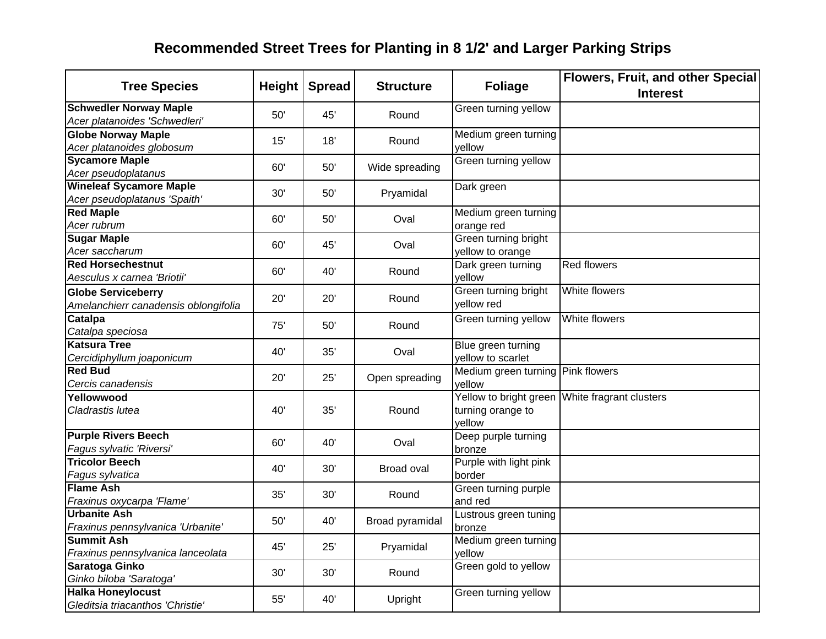# **Recommended Street Trees for Planting in 8 1/2' and Larger Parking Strips**

| <b>Tree Species</b>                                               |     | Height   Spread | <b>Structure</b> | <b>Foliage</b>                              | <b>Flowers, Fruit, and other Special</b><br><b>Interest</b> |
|-------------------------------------------------------------------|-----|-----------------|------------------|---------------------------------------------|-------------------------------------------------------------|
| <b>Schwedler Norway Maple</b><br>Acer platanoides 'Schwedleri'    | 50' | 45'             | Round            | Green turning yellow                        |                                                             |
| <b>Globe Norway Maple</b><br>Acer platanoides globosum            | 15' | 18'             | Round            | Medium green turning<br>yellow              |                                                             |
| <b>Sycamore Maple</b><br>Acer pseudoplatanus                      | 60' | 50'             | Wide spreading   | Green turning yellow                        |                                                             |
| <b>Wineleaf Sycamore Maple</b><br>Acer pseudoplatanus 'Spaith'    | 30' | 50'             | Pryamidal        | Dark green                                  |                                                             |
| <b>Red Maple</b><br>Acer rubrum                                   | 60' | 50'             | Oval             | Medium green turning<br>orange red          |                                                             |
| <b>Sugar Maple</b><br>Acer saccharum                              | 60' | 45'             | Oval             | Green turning bright<br>yellow to orange    |                                                             |
| <b>Red Horsechestnut</b><br>Aesculus x carnea 'Briotii'           | 60' | 40'             | Round            | Dark green turning<br>yellow                | <b>Red flowers</b>                                          |
| <b>Globe Serviceberry</b><br>Amelanchierr canadensis oblongifolia | 20' | 20'             | Round            | Green turning bright<br>yellow red          | White flowers                                               |
| Catalpa<br>Catalpa speciosa                                       | 75' | 50'             | Round            | Green turning yellow                        | White flowers                                               |
| <b>Katsura Tree</b><br>Cercidiphyllum joaponicum                  | 40' | 35'             | Oval             | Blue green turning<br>yellow to scarlet     |                                                             |
| <b>Red Bud</b><br>Cercis canadensis                               | 20' | 25'             | Open spreading   | Medium green turning Pink flowers<br>yellow |                                                             |
| Yellowwood<br>Cladrastis lutea                                    | 40' | 35'             | Round            | turning orange to<br>vellow                 | Yellow to bright green White fragrant clusters              |
| <b>Purple Rivers Beech</b><br>Fagus sylvatic 'Riversi'            | 60' | 40'             | Oval             | Deep purple turning<br>bronze               |                                                             |
| <b>Tricolor Beech</b><br>Fagus sylvatica                          | 40' | 30'             | Broad oval       | Purple with light pink<br>border            |                                                             |
| <b>Flame Ash</b><br>Fraxinus oxycarpa 'Flame'                     | 35' | 30'             | Round            | Green turning purple<br>and red             |                                                             |
| <b>Urbanite Ash</b><br>Fraxinus pennsylvanica 'Urbanite'          | 50' | 40'             | Broad pyramidal  | Lustrous green tuning<br>bronze             |                                                             |
| <b>Summit Ash</b><br>Fraxinus pennsylvanica lanceolata            | 45' | 25'             | Pryamidal        | Medium green turning<br>yellow              |                                                             |
| Saratoga Ginko<br>Ginko biloba 'Saratoga'                         | 30' | 30'             | Round            | Green gold to yellow                        |                                                             |
| <b>Halka Honeylocust</b><br>Gleditsia triacanthos 'Christie'      | 55' | 40'             | Upright          | Green turning yellow                        |                                                             |